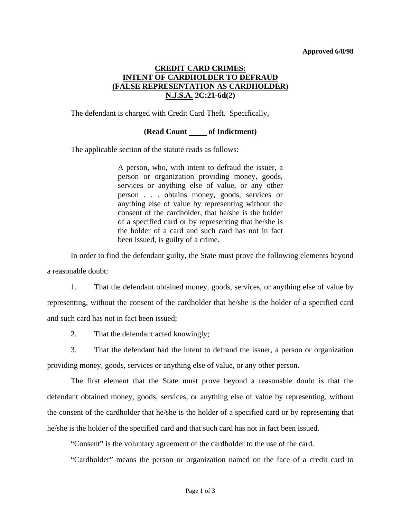### **Approved 6/8/98**

# **CREDIT CARD CRIMES: INTENT OF CARDHOLDER TO DEFRAUD (FALSE REPRESENTATION AS CARDHOLDER) N.J.S.A. 2C:21-6d(2)**

The defendant is charged with Credit Card Theft. Specifically,

## **(Read Count of Indictment)**

The applicable section of the statute reads as follows:

A person, who, with intent to defraud the issuer, a person or organization providing money, goods, services or anything else of value, or any other person . . . obtains money, goods, services or anything else of value by representing without the consent of the cardholder, that he/she is the holder of a specified card or by representing that he/she is the holder of a card and such card has not in fact been issued, is guilty of a crime.

 In order to find the defendant guilty, the State must prove the following elements beyond a reasonable doubt:

 1. That the defendant obtained money, goods, services, or anything else of value by representing, without the consent of the cardholder that he/she is the holder of a specified card and such card has not in fact been issued;

2. That the defendant acted knowingly;

 3. That the defendant had the intent to defraud the issuer, a person or organization providing money, goods, services or anything else of value, or any other person.

 The first element that the State must prove beyond a reasonable doubt is that the defendant obtained money, goods, services, or anything else of value by representing, without the consent of the cardholder that he/she is the holder of a specified card or by representing that he/she is the holder of the specified card and that such card has not in fact been issued.

"Consent" is the voluntary agreement of the cardholder to the use of the card.

"Cardholder" means the person or organization named on the face of a credit card to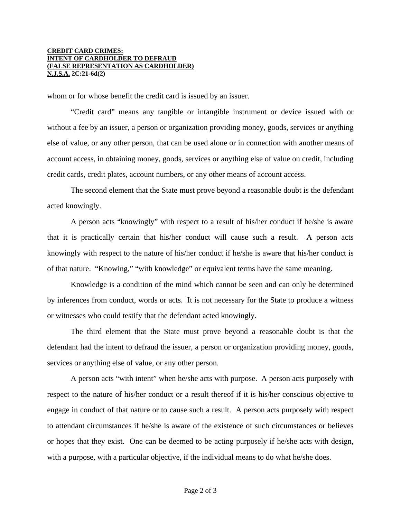#### **CREDIT CARD CRIMES: INTENT OF CARDHOLDER TO DEFRAUD (FALSE REPRESENTATION AS CARDHOLDER) N.J.S.A. 2C:21-6d(2)**

whom or for whose benefit the credit card is issued by an issuer.

 "Credit card" means any tangible or intangible instrument or device issued with or without a fee by an issuer, a person or organization providing money, goods, services or anything else of value, or any other person, that can be used alone or in connection with another means of account access, in obtaining money, goods, services or anything else of value on credit, including credit cards, credit plates, account numbers, or any other means of account access.

 The second element that the State must prove beyond a reasonable doubt is the defendant acted knowingly.

 A person acts "knowingly" with respect to a result of his/her conduct if he/she is aware that it is practically certain that his/her conduct will cause such a result. A person acts knowingly with respect to the nature of his/her conduct if he/she is aware that his/her conduct is of that nature. "Knowing," "with knowledge" or equivalent terms have the same meaning.

 Knowledge is a condition of the mind which cannot be seen and can only be determined by inferences from conduct, words or acts. It is not necessary for the State to produce a witness or witnesses who could testify that the defendant acted knowingly.

 The third element that the State must prove beyond a reasonable doubt is that the defendant had the intent to defraud the issuer, a person or organization providing money, goods, services or anything else of value, or any other person.

 A person acts "with intent" when he/she acts with purpose. A person acts purposely with respect to the nature of his/her conduct or a result thereof if it is his/her conscious objective to engage in conduct of that nature or to cause such a result. A person acts purposely with respect to attendant circumstances if he/she is aware of the existence of such circumstances or believes or hopes that they exist. One can be deemed to be acting purposely if he/she acts with design, with a purpose, with a particular objective, if the individual means to do what he/she does.